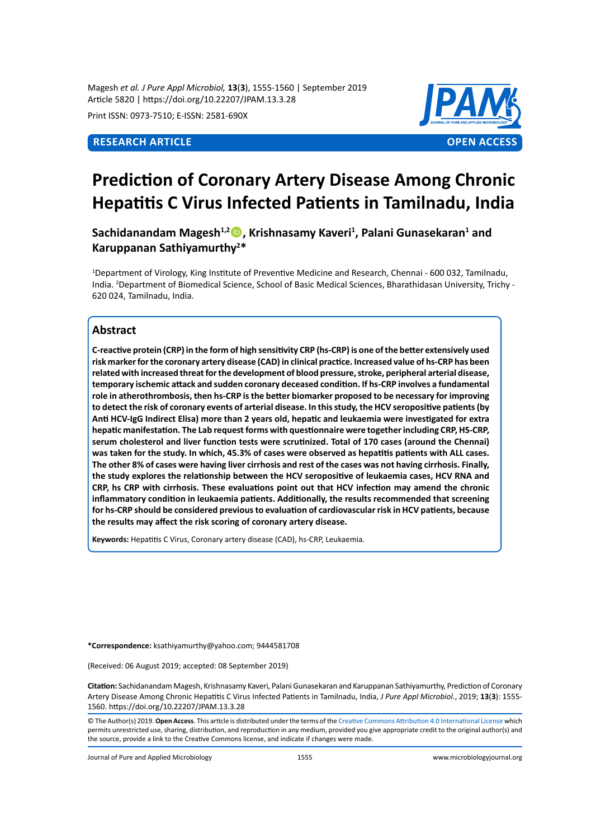Magesh *et al. J Pure Appl Microbiol,* **13**(**3**), 1555-1560 | September 2019 Article 5820 | https://doi.org/10.22207/JPAM.13.3.28

Print ISSN: 0973-7510; E-ISSN: 2581-690X



# **Prediction of Coronary Artery Disease Among Chronic Hepatitis C Virus Infected Patients in Tamilnadu, India**

**Sachidanandam Magesh1,2, Krishnasamy Kaveri<sup>1</sup> , Palani Gunasekaran<sup>1</sup> and Karuppanan Sathiyamurthy2 \***

1 Department of Virology, King Institute of Preventive Medicine and Research, Chennai - 600 032, Tamilnadu, India. <sup>2</sup> Department of Biomedical Science, School of Basic Medical Sciences, Bharathidasan University, Trichy - 620 024, Tamilnadu, India.

# **Abstract**

**C-reactive protein (CRP) in the form of high sensitivity CRP (hs-CRP) is one of the better extensively used risk marker for the coronary artery disease (CAD) in clinical practice. Increased value of hs-CRP has been related with increased threat for the development of blood pressure, stroke, peripheral arterial disease, temporary ischemic attack and sudden coronary deceased condition. If hs-CRP involves a fundamental role in atherothrombosis, then hs-CRP is the better biomarker proposed to be necessary for improving to detect the risk of coronary events of arterial disease. In this study, the HCV seropositive patients (by Anti HCV-IgG Indirect Elisa) more than 2 years old, hepatic and leukaemia were investigated for extra hepatic manifestation. The Lab request forms with questionnaire were together including CRP, HS-CRP, serum cholesterol and liver function tests were scrutinized. Total of 170 cases (around the Chennai) was taken for the study. In which, 45.3% of cases were observed as hepatitis patients with ALL cases. The other 8% of cases were having liver cirrhosis and rest of the cases was not having cirrhosis. Finally, the study explores the relationship between the HCV seropositive of leukaemia cases, HCV RNA and CRP, hs CRP with cirrhosis. These evaluations point out that HCV infection may amend the chronic inflammatory condition in leukaemia patients. Additionally, the results recommended that screening for hs-CRP should be considered previous to evaluation of cardiovascular risk in HCV patients, because the results may affect the risk scoring of coronary artery disease.**

**Keywords:** Hepatitis C Virus, Coronary artery disease (CAD), hs-CRP, Leukaemia.

**\*Correspondence:** ksathiyamurthy@yahoo.com; 9444581708

(Received: 06 August 2019; accepted: 08 September 2019)

**Citation:** Sachidanandam Magesh, Krishnasamy Kaveri, Palani Gunasekaran and Karuppanan Sathiyamurthy, Prediction of Coronary Artery Disease Among Chronic Hepatitis C Virus Infected Patients in Tamilnadu, India, *J Pure Appl Microbiol*., 2019; **13**(**3**): 1555- 1560. https://doi.org/10.22207/JPAM.13.3.28

© The Author(s) 2019. **Open Access**. This article is distributed under the terms of the [Creative Commons Attribution 4.0 International License](https://creativecommons.org/licenses/by/4.0/) which permits unrestricted use, sharing, distribution, and reproduction in any medium, provided you give appropriate credit to the original author(s) and the source, provide a link to the Creative Commons license, and indicate if changes were made.

Journal of Pure and Applied Microbiology 1555 www.microbiologyjournal.org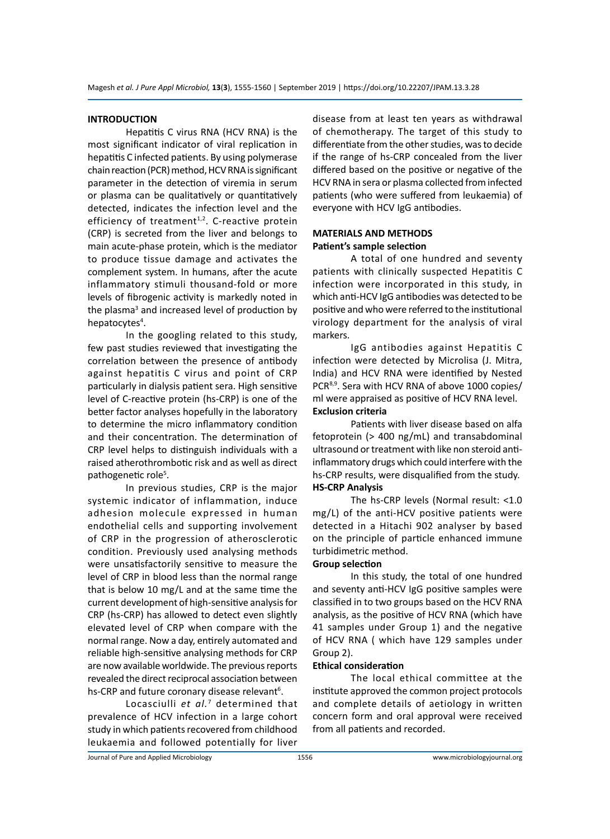#### **INTRODUCTION**

Hepatitis C virus RNA (HCV RNA) is the most significant indicator of viral replication in hepatitis C infected patients. By using polymerase chain reaction (PCR) method, HCV RNA is significant parameter in the detection of viremia in serum or plasma can be qualitatively or quantitatively detected, indicates the infection level and the efficiency of treatment $1,2$ . C-reactive protein (CRP) is secreted from the liver and belongs to main acute-phase protein, which is the mediator to produce tissue damage and activates the complement system. In humans, after the acute inflammatory stimuli thousand-fold or more levels of fibrogenic activity is markedly noted in the plasma<sup>3</sup> and increased level of production by hepatocytes<sup>4</sup>.

In the googling related to this study, few past studies reviewed that investigating the correlation between the presence of antibody against hepatitis C virus and point of CRP particularly in dialysis patient sera. High sensitive level of C-reactive protein (hs-CRP) is one of the better factor analyses hopefully in the laboratory to determine the micro inflammatory condition and their concentration. The determination of CRP level helps to distinguish individuals with a raised atherothrombotic risk and as well as direct pathogenetic role<sup>5</sup>.

In previous studies, CRP is the major systemic indicator of inflammation, induce adhesion molecule expressed in human endothelial cells and supporting involvement of CRP in the progression of atherosclerotic condition. Previously used analysing methods were unsatisfactorily sensitive to measure the level of CRP in blood less than the normal range that is below 10 mg/L and at the same time the current development of high-sensitive analysis for CRP (hs-CRP) has allowed to detect even slightly elevated level of CRP when compare with the normal range. Now a day, entirely automated and reliable high-sensitive analysing methods for CRP are now available worldwide. The previous reports revealed the direct reciprocal association between hs-CRP and future coronary disease relevant<sup>6</sup>.

Locasciulli *et al.*<sup>7</sup> determined that prevalence of HCV infection in a large cohort study in which patients recovered from childhood leukaemia and followed potentially for liver

disease from at least ten years as withdrawal of chemotherapy. The target of this study to differentiate from the other studies, was to decide if the range of hs-CRP concealed from the liver differed based on the positive or negative of the HCV RNA in sera or plasma collected from infected patients (who were suffered from leukaemia) of everyone with HCV IgG antibodies.

# **MATERIALS AND METHODS Patient's sample selection**

A total of one hundred and seventy patients with clinically suspected Hepatitis C infection were incorporated in this study, in which anti-HCV IgG antibodies was detected to be positive and who were referred to the institutional virology department for the analysis of viral markers.

IgG antibodies against Hepatitis C infection were detected by Microlisa (J. Mitra, India) and HCV RNA were identified by Nested PCR<sup>8,9</sup>. Sera with HCV RNA of above 1000 copies/ ml were appraised as positive of HCV RNA level. **Exclusion criteria**

Patients with liver disease based on alfa fetoprotein (> 400 ng/mL) and transabdominal ultrasound or treatment with like non steroid antiinflammatory drugs which could interfere with the hs-CRP results, were disqualified from the study. **HS-CRP Analysis**

The hs-CRP levels (Normal result: <1.0 mg/L) of the anti-HCV positive patients were detected in a Hitachi 902 analyser by based on the principle of particle enhanced immune turbidimetric method.

#### **Group selection**

In this study, the total of one hundred and seventy anti-HCV IgG positive samples were classified in to two groups based on the HCV RNA analysis, as the positive of HCV RNA (which have 41 samples under Group 1) and the negative of HCV RNA ( which have 129 samples under Group 2).

### **Ethical consideration**

The local ethical committee at the institute approved the common project protocols and complete details of aetiology in written concern form and oral approval were received from all patients and recorded.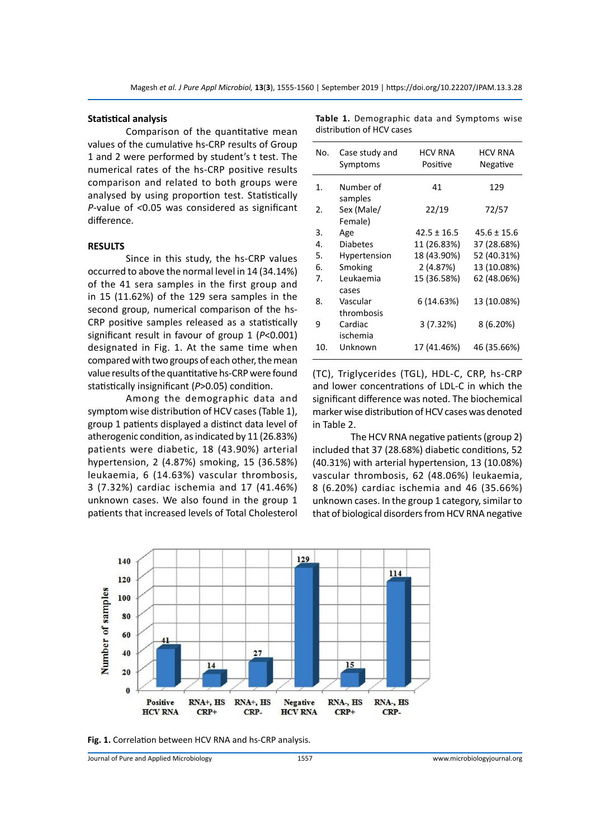#### **Statistical analysis**

Comparison of the quantitative mean values of the cumulative hs-CRP results of Group 1 and 2 were performed by student's t test. The numerical rates of the hs-CRP positive results comparison and related to both groups were analysed by using proportion test. Statistically *P*-value of *<*0.05 was considered as significant difference.

#### **RESULTS**

Since in this study, the hs-CRP values occurred to above the normal level in 14 (34.14%) of the 41 sera samples in the first group and in 15 (11.62%) of the 129 sera samples in the second group, numerical comparison of the hs-CRP positive samples released as a statistically significant result in favour of group 1 (*P*<0.001) designated in Fig. 1. At the same time when compared with two groups of each other, the mean value results of the quantitative hs-CRP were found statistically insignificant (*P*>0.05) condition.

Among the demographic data and symptom wise distribution of HCV cases (Table 1), group 1 patients displayed a distinct data level of atherogenic condition, as indicated by 11 (26.83%) patients were diabetic, 18 (43.90%) arterial hypertension, 2 (4.87%) smoking, 15 (36.58%) leukaemia, 6 (14.63%) vascular thrombosis, 3 (7.32%) cardiac ischemia and 17 (41.46%) unknown cases. We also found in the group 1 patients that increased levels of Total Cholesterol

| No.                   | Case study and<br>Symptoms | HCV RNA<br>Positive | <b>HCV RNA</b><br>Negative |
|-----------------------|----------------------------|---------------------|----------------------------|
| $\mathbf{1}$ .        | Number of<br>samples       | 41                  | 129                        |
| $\mathcal{P}_{\cdot}$ | Sex (Male/<br>Female)      | 22/19               | 72/57                      |
| 3.                    | Age                        | $42.5 \pm 16.5$     | $45.6 \pm 15.6$            |
| 4.                    | <b>Diabetes</b>            | 11 (26.83%)         | 37 (28.68%)                |
| 5.                    | Hypertension               | 18 (43.90%)         | 52 (40.31%)                |
| 6.                    | Smoking                    | 2 (4.87%)           | 13 (10.08%)                |
| 7.                    | Leukaemia<br>cases         | 15 (36.58%)         | 62 (48.06%)                |
| 8.                    | Vascular<br>thrombosis     | 6 (14.63%)          | 13 (10.08%)                |
| 9                     | Cardiac<br>ischemia        | 3(7.32%)            | 8 (6.20%)                  |
| 10.                   | Unknown                    | 17 (41.46%)         | 46 (35.66%)                |

**Table 1.** Demographic data and Symptoms wise distribution of HCV cases

(TC), Triglycerides (TGL), HDL-C, CRP, hs-CRP and lower concentrations of LDL-C in which the significant difference was noted. The biochemical marker wise distribution of HCV cases was denoted in Table 2.

The HCV RNA negative patients (group 2) included that 37 (28.68%) diabetic conditions, 52 (40.31%) with arterial hypertension, 13 (10.08%) vascular thrombosis, 62 (48.06%) leukaemia, 8 (6.20%) cardiac ischemia and 46 (35.66%) unknown cases. In the group 1 category, similar to that of biological disorders from HCV RNA negative



**Fig. 1.** Correlation between HCV RNA and hs-CRP analysis.

Journal of Pure and Applied Microbiology 1557 www.microbiologyjournal.org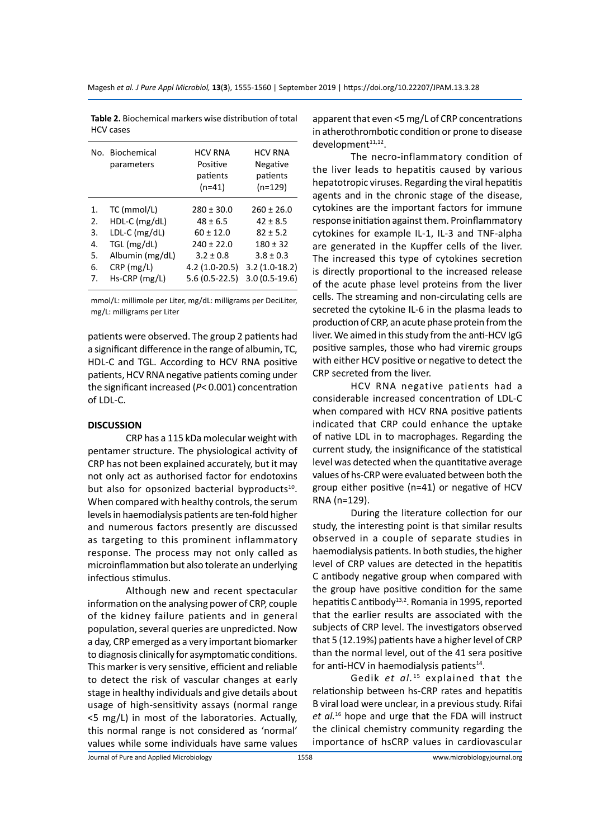|    | No. Biochemical | <b>HCV RNA</b>  | <b>HCV RNA</b>  |
|----|-----------------|-----------------|-----------------|
|    | parameters      | Positive        | Negative        |
|    |                 | patients        | patients        |
|    |                 | $(n=41)$        | $(n=129)$       |
| 1. | TC (mmol/L)     | $280 \pm 30.0$  | $260 \pm 26.0$  |
| 2. | $HDL-C$ (mg/dL) | $48 \pm 6.5$    | $42 \pm 8.5$    |
| 3. | LDL-C (mg/dL)   | $60 \pm 12.0$   | $82 \pm 5.2$    |
| 4. | TGL (mg/dL)     | $240 \pm 22.0$  | $180 \pm 32$    |
| 5. | Albumin (mg/dL) | $3.2 \pm 0.8$   | $3.8 \pm 0.3$   |
| 6. | CRP (mg/L)      | $4.2(1.0-20.5)$ | $3.2(1.0-18.2)$ |
| 7. | $Hs-CRP$ (mg/L) | 5.6 (0.5-22.5)  | $3.0(0.5-19.6)$ |
|    |                 |                 |                 |

**Table 2.** Biochemical markers wise distribution of total HCV cases

mmol/L: millimole per Liter, mg/dL: milligrams per DeciLiter, mg/L: milligrams per Liter

patients were observed. The group 2 patients had a significant difference in the range of albumin, TC, HDL-C and TGL. According to HCV RNA positive patients, HCV RNA negative patients coming under the significant increased (*P*< 0.001) concentration of LDL-C.

#### **DISCUSSION**

CRP has a 115 kDa molecular weight with pentamer structure. The physiological activity of CRP has not been explained accurately, but it may not only act as authorised factor for endotoxins but also for opsonized bacterial byproducts<sup>10</sup>. When compared with healthy controls, the serum levels in haemodialysis patients are ten-fold higher and numerous factors presently are discussed as targeting to this prominent inflammatory response. The process may not only called as microinflammation but also tolerate an underlying infectious stimulus.

Although new and recent spectacular information on the analysing power of CRP, couple of the kidney failure patients and in general population, several queries are unpredicted. Now a day, CRP emerged as a very important biomarker to diagnosis clinically for asymptomatic conditions. This marker is very sensitive, efficient and reliable to detect the risk of vascular changes at early stage in healthy individuals and give details about usage of high-sensitivity assays (normal range <5 mg/L) in most of the laboratories. Actually, this normal range is not considered as 'normal' values while some individuals have same values apparent that even <5 mg/L of CRP concentrations in atherothrombotic condition or prone to disease development<sup>11,12</sup>.

The necro-inflammatory condition of the liver leads to hepatitis caused by various hepatotropic viruses. Regarding the viral hepatitis agents and in the chronic stage of the disease, cytokines are the important factors for immune response initiation against them. Proinflammatory cytokines for example IL-1, IL-3 and TNF-alpha are generated in the Kupffer cells of the liver. The increased this type of cytokines secretion is directly proportional to the increased release of the acute phase level proteins from the liver cells. The streaming and non-circulating cells are secreted the cytokine IL-6 in the plasma leads to production of CRP, an acute phase protein from the liver. We aimed in this study from the anti-HCV IgG positive samples, those who had viremic groups with either HCV positive or negative to detect the CRP secreted from the liver.

HCV RNA negative patients had a considerable increased concentration of LDL-C when compared with HCV RNA positive patients indicated that CRP could enhance the uptake of native LDL in to macrophages. Regarding the current study, the insignificance of the statistical level was detected when the quantitative average values of hs-CRP were evaluated between both the group either positive (n=41) or negative of HCV RNA (n=129).

During the literature collection for our study, the interesting point is that similar results observed in a couple of separate studies in haemodialysis patients. In both studies, the higher level of CRP values are detected in the hepatitis C antibody negative group when compared with the group have positive condition for the same hepatitis C antibody<sup>13,2</sup>. Romania in 1995, reported that the earlier results are associated with the subjects of CRP level. The investigators observed that 5 (12.19%) patients have a higher level of CRP than the normal level, out of the 41 sera positive for anti-HCV in haemodialysis patients $14$ .

Gedik *et al.*<sup>15</sup> explained that the relationship between hs-CRP rates and hepatitis B viral load were unclear, in a previous study. Rifai *et al.*16 hope and urge that the FDA will instruct the clinical chemistry community regarding the importance of hsCRP values in cardiovascular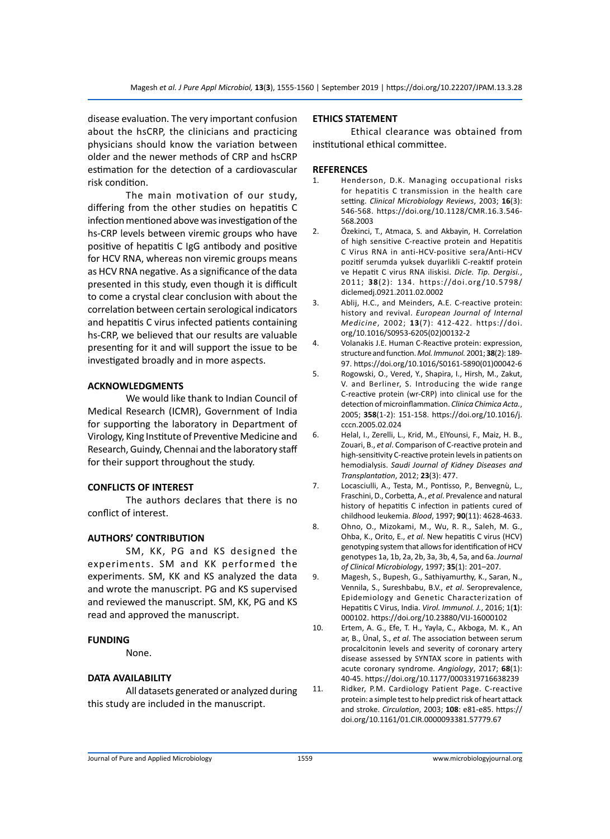disease evaluation. The very important confusion about the hsCRP, the clinicians and practicing physicians should know the variation between older and the newer methods of CRP and hsCRP estimation for the detection of a cardiovascular risk condition.

The main motivation of our study, differing from the other studies on hepatitis C infection mentioned above was investigation of the hs-CRP levels between viremic groups who have positive of hepatitis C IgG antibody and positive for HCV RNA, whereas non viremic groups means as HCV RNA negative. As a significance of the data presented in this study, even though it is difficult to come a crystal clear conclusion with about the correlation between certain serological indicators and hepatitis C virus infected patients containing hs-CRP, we believed that our results are valuable presenting for it and will support the issue to be investigated broadly and in more aspects.

#### **ACKNOWLEDGMENTS**

We would like thank to Indian Council of Medical Research (ICMR), Government of India for supporting the laboratory in Department of Virology, King Institute of Preventive Medicine and Research, Guindy, Chennai and the laboratory staff for their support throughout the study.

## **CONFLICTS OF INTEREST**

The authors declares that there is no conflict of interest.

# **AUTHORS' CONTRIBUTION**

SM, KK, PG and KS designed the experiments. SM and KK performed the experiments. SM, KK and KS analyzed the data and wrote the manuscript. PG and KS supervised and reviewed the manuscript. SM, KK, PG and KS read and approved the manuscript.

#### **FUNDING**

None.

#### **DATA AVAILABILITY**

All datasets generated or analyzed during this study are included in the manuscript.

#### **ETHICS STATEMENT**

Ethical clearance was obtained from institutional ethical committee.

#### **REFERENCES**

- 1. Henderson, D.K. Managing occupational risks for hepatitis C transmission in the health care setting. *Clinical Microbiology Reviews*, 2003; **16**(3): 546-568. https://doi.org/10.1128/CMR.16.3.546- 568.2003
- 2. Özekinci, T., Atmaca, S. and Akbayin, H. Correlation of high sensitive C-reactive protein and Hepatitis C Virus RNA in anti-HCV-positive sera/Anti-HCV pozitif serumda yuksek duyarlikli C-reaktif protein ve Hepatit C virus RNA iliskisi. *Dicle. Tip. Dergisi.*, 2011; **38**(2): 134. https://doi.org/10.5798/ diclemedj.0921.2011.02.0002
- 3. Ablij, H.C., and Meinders, A.E. C-reactive protein: history and revival. *European Journal of Internal Medicine*, 2002; **13**(7): 412-422. https://doi. org/10.1016/S0953-6205(02)00132-2
- 4. Volanakis J.E. Human C-Reactive protein: expression, structure and function. *Mol. Immunol.* 2001; **38**(2): 189- 97. https://doi.org/10.1016/S0161-5890(01)00042-6
- 5. Rogowski, O., Vered, Y., Shapira, I., Hirsh, M., Zakut, V. and Berliner, S. Introducing the wide range C-reactive protein (wr-CRP) into clinical use for the detection of microinflammation. *Clinica Chimica Acta.*, 2005; **358**(1-2): 151-158. https://doi.org/10.1016/j. cccn.2005.02.024
- 6. Helal, I., Zerelli, L., Krid, M., ElYounsi, F., Maiz, H. B., Zouari, B., *et al*. Comparison of C-reactive protein and high-sensitivity C-reactive protein levels in patients on hemodialysis. *Saudi Journal of Kidney Diseases and Transplantation*, 2012; **23**(3): 477.
- 7. Locasciulli, A., Testa, M., Pontisso, P., Benvegnù, L., Fraschini, D., Corbetta, A., *et al*. Prevalence and natural history of hepatitis C infection in patients cured of childhood leukemia. *Blood*, 1997; **90**(11): 4628-4633.
- 8. Ohno, O., Mizokami, M., Wu, R. R., Saleh, M. G., Ohba, K., Orito, E., *et al*. New hepatitis C virus (HCV) genotyping system that allows for identification of HCV genotypes 1a, 1b, 2a, 2b, 3a, 3b, 4, 5a, and 6a. *Journal of Clinical Microbiology*, 1997; **35**(1): 201–207.
- 9. Magesh, S., Bupesh, G., Sathiyamurthy, K., Saran, N., Vennila, S., Sureshbabu, B.V., *et al*. Seroprevalence, Epidemiology and Genetic Characterization of Hepatitis C Virus, India. *Virol. Immunol. J.*, 2016; 1(**1**): 000102. https://doi.org/10.23880/VIJ-16000102
- 10. Ertem, A. G., Efe, T. H., Yayla, C., Akboga, M. K., Aח ar, B., Ünal, S., *et al*. The association between serum procalcitonin levels and severity of coronary artery disease assessed by SYNTAX score in patients with acute coronary syndrome. *Angiology*, 2017; **68**(1): 40-45. https://doi.org/10.1177/0003319716638239
- 11. Ridker, P.M. Cardiology Patient Page. C-reactive protein: a simple test to help predict risk of heart attack and stroke. *Circulation*, 2003; **108**: e81-e85. https:// doi.org/10.1161/01.CIR.0000093381.57779.67